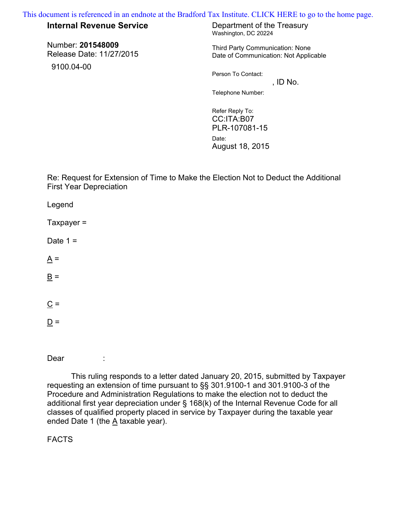[This document is referenced in an endnote at the Bradford Tax Institute. CLICK HERE to go to the home page.](www.bradfordtaxinstitute.com)

## **Internal Revenue Service** Department of the Treasury

Number: **201548009** Release Date: 11/27/2015

9100.04-00

Washington, DC 20224

Third Party Communication: None Date of Communication: Not Applicable

Person To Contact:

 $,$  ID No. Telephone Number:

Refer Reply To: CC:ITA:B07 PLR-107081-15 Date: August 18, 2015

Re: Request for Extension of Time to Make the Election Not to Deduct the Additional First Year Depreciation

Legend

 $Taxpayer =$ 

Date  $1 =$ 

 $A =$ 

 $\underline{\mathbf{B}}$  =

 $\underline{C}$  =

 $D =$ 

Dear :

 This ruling responds to a letter dated January 20, 2015, submitted by Taxpayer requesting an extension of time pursuant to §§ 301.9100-1 and 301.9100-3 of the Procedure and Administration Regulations to make the election not to deduct the additional first year depreciation under § 168(k) of the Internal Revenue Code for all classes of qualified property placed in service by Taxpayer during the taxable year ended Date 1 (the A taxable year).

FACTS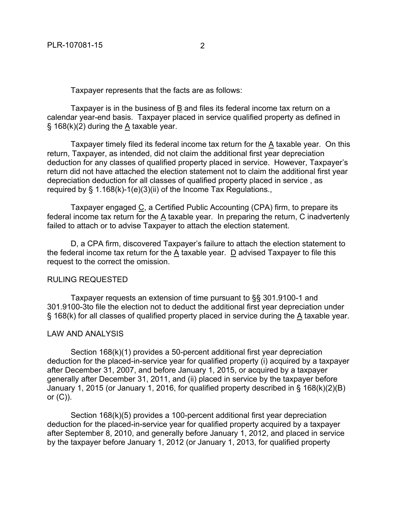Taxpayer represents that the facts are as follows:

Taxpayer is in the business of B and files its federal income tax return on a calendar year-end basis. Taxpayer placed in service qualified property as defined in § 168(k)(2) during the A taxable year.

Taxpayer timely filed its federal income tax return for the A taxable year. On this return, Taxpayer, as intended, did not claim the additional first year depreciation deduction for any classes of qualified property placed in service. However, Taxpayer's return did not have attached the election statement not to claim the additional first year depreciation deduction for all classes of qualified property placed in service , as required by § 1.168(k)-1(e)(3)(ii) of the Income Tax Regulations.,

Taxpayer engaged C, a Certified Public Accounting (CPA) firm, to prepare its federal income tax return for the A taxable year. In preparing the return, C inadvertenly failed to attach or to advise Taxpayer to attach the election statement.

D, a CPA firm, discovered Taxpayer's failure to attach the election statement to the federal income tax return for the A taxable year. D advised Taxpayer to file this request to the correct the omission.

## RULING REQUESTED

Taxpayer requests an extension of time pursuant to §§ 301.9100-1 and 301.9100-3to file the election not to deduct the additional first year depreciation under § 168(k) for all classes of qualified property placed in service during the A taxable year.

## LAW AND ANALYSIS

Section 168(k)(1) provides a 50-percent additional first year depreciation deduction for the placed-in-service year for qualified property (i) acquired by a taxpayer after December 31, 2007, and before January 1, 2015, or acquired by a taxpayer generally after December 31, 2011, and (ii) placed in service by the taxpayer before January 1, 2015 (or January 1, 2016, for qualified property described in § 168(k)(2)(B) or  $(C)$ ).

Section 168(k)(5) provides a 100-percent additional first year depreciation deduction for the placed-in-service year for qualified property acquired by a taxpayer after September 8, 2010, and generally before January 1, 2012, and placed in service by the taxpayer before January 1, 2012 (or January 1, 2013, for qualified property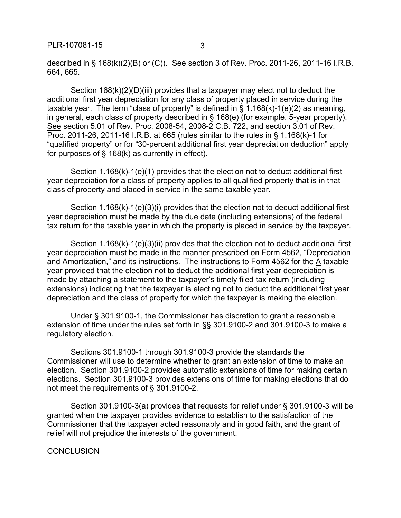described in § 168(k)(2)(B) or (C)). See section 3 of Rev. Proc. 2011-26, 2011-16 I.R.B. 664, 665.

Section 168(k)(2)(D)(iii) provides that a taxpayer may elect not to deduct the additional first year depreciation for any class of property placed in service during the taxable year. The term "class of property" is defined in  $\S$  1.168(k)-1(e)(2) as meaning, in general, each class of property described in § 168(e) (for example, 5-year property). See section 5.01 of Rev. Proc. 2008-54, 2008-2 C.B. 722, and section 3.01 of Rev. Proc. 2011-26, 2011-16 I.R.B. at 665 (rules similar to the rules in § 1.168(k)-1 for "qualified property" or for "30-percent additional first year depreciation deduction" apply for purposes of  $\S$  168(k) as currently in effect).

Section 1.168(k)-1(e)(1) provides that the election not to deduct additional first year depreciation for a class of property applies to all qualified property that is in that class of property and placed in service in the same taxable year.

Section 1.168(k)-1(e)(3)(i) provides that the election not to deduct additional first year depreciation must be made by the due date (including extensions) of the federal tax return for the taxable year in which the property is placed in service by the taxpayer.

Section 1.168(k)-1(e)(3)(ii) provides that the election not to deduct additional first year depreciation must be made in the manner prescribed on Form 4562, "Depreciation and Amortization," and its instructions. The instructions to Form 4562 for the  $\underline{A}$  taxable year provided that the election not to deduct the additional first year depreciation is made by attaching a statement to the taxpayer's timely filed tax return (including extensions) indicating that the taxpayer is electing not to deduct the additional first year depreciation and the class of property for which the taxpayer is making the election.

Under § 301.9100-1, the Commissioner has discretion to grant a reasonable extension of time under the rules set forth in §§ 301.9100-2 and 301.9100-3 to make a regulatory election.

Sections 301.9100-1 through 301.9100-3 provide the standards the Commissioner will use to determine whether to grant an extension of time to make an election. Section 301.9100-2 provides automatic extensions of time for making certain elections. Section 301.9100-3 provides extensions of time for making elections that do not meet the requirements of § 301.9100-2.

Section 301.9100-3(a) provides that requests for relief under § 301.9100-3 will be granted when the taxpayer provides evidence to establish to the satisfaction of the Commissioner that the taxpayer acted reasonably and in good faith, and the grant of relief will not prejudice the interests of the government.

**CONCLUSION**